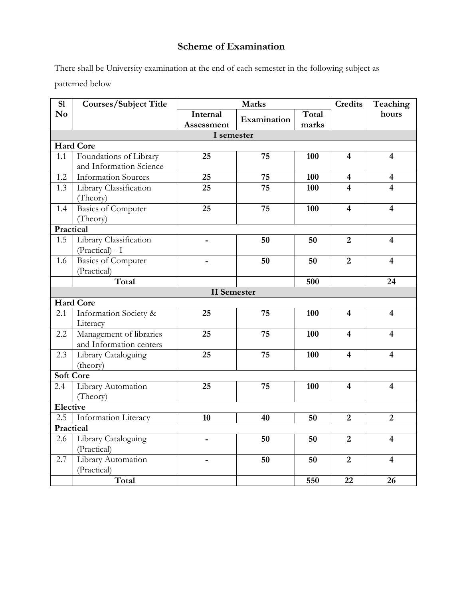# **Scheme of Examination**

There shall be University examination at the end of each semester in the following subject as patterned below

| S1               | <b>Courses/Subject Title</b> | <b>Marks</b>       |             |       | <b>Credits</b>          | Teaching                |  |  |  |  |  |
|------------------|------------------------------|--------------------|-------------|-------|-------------------------|-------------------------|--|--|--|--|--|
| N <sub>o</sub>   |                              | Internal           | Examination | Total |                         | hours                   |  |  |  |  |  |
|                  |                              | Assessment         |             | marks |                         |                         |  |  |  |  |  |
| I semester       |                              |                    |             |       |                         |                         |  |  |  |  |  |
| <b>Hard Core</b> |                              |                    |             |       |                         |                         |  |  |  |  |  |
| 1.1              | Foundations of Library       | 25                 | 75          | 100   | $\overline{\mathbf{4}}$ | $\overline{\mathbf{4}}$ |  |  |  |  |  |
|                  | and Information Science      |                    |             |       |                         |                         |  |  |  |  |  |
| $\overline{1.2}$ | <b>Information Sources</b>   | 25                 | 75          | 100   | $\overline{\mathbf{4}}$ | $\overline{\mathbf{4}}$ |  |  |  |  |  |
| 1.3              | Library Classification       | 25                 | 75          | 100   | 4                       | 4                       |  |  |  |  |  |
|                  | (Theory)                     |                    |             |       |                         |                         |  |  |  |  |  |
| 1.4              | <b>Basics of Computer</b>    | 25                 | 75          | 100   | $\overline{\mathbf{4}}$ | $\overline{\mathbf{4}}$ |  |  |  |  |  |
|                  | (Theory)                     |                    |             |       |                         |                         |  |  |  |  |  |
| Practical        |                              |                    |             |       |                         |                         |  |  |  |  |  |
| 1.5              | Library Classification       |                    | 50          | 50    | $\overline{2}$          | $\overline{\mathbf{4}}$ |  |  |  |  |  |
|                  | (Practical) - I              |                    |             |       |                         |                         |  |  |  |  |  |
| 1.6              | <b>Basics of Computer</b>    | L.                 | 50          | 50    | $\overline{2}$          | $\overline{\mathbf{4}}$ |  |  |  |  |  |
|                  | (Practical)                  |                    |             |       |                         |                         |  |  |  |  |  |
|                  | Total                        |                    |             | 500   |                         | 24                      |  |  |  |  |  |
|                  |                              | <b>II</b> Semester |             |       |                         |                         |  |  |  |  |  |
|                  | <b>Hard Core</b>             |                    |             |       |                         |                         |  |  |  |  |  |
| 2.1              | Information Society &        | 25                 | 75          | 100   | $\overline{\mathbf{4}}$ | $\overline{\mathbf{4}}$ |  |  |  |  |  |
|                  | Literacy                     |                    |             |       |                         |                         |  |  |  |  |  |
| 2.2              | Management of libraries      | 25                 | 75          | 100   | $\overline{\mathbf{4}}$ | $\overline{\mathbf{4}}$ |  |  |  |  |  |
|                  | and Information centers      |                    |             |       |                         |                         |  |  |  |  |  |
| 2.3              | Library Cataloguing          | 25                 | 75          | 100   | $\overline{\mathbf{4}}$ | $\overline{\mathbf{4}}$ |  |  |  |  |  |
|                  | (theory)                     |                    |             |       |                         |                         |  |  |  |  |  |
|                  | <b>Soft Core</b>             |                    |             |       |                         |                         |  |  |  |  |  |
| 2.4              | Library Automation           | 25                 | 75          | 100   | $\overline{\mathbf{4}}$ | $\overline{\mathbf{4}}$ |  |  |  |  |  |
|                  | (Theory)                     |                    |             |       |                         |                         |  |  |  |  |  |
| Elective         |                              |                    |             |       |                         |                         |  |  |  |  |  |
| 2.5              | Information Literacy         | 10                 | 40          | 50    | $\overline{2}$          | $\overline{2}$          |  |  |  |  |  |
| Practical        |                              |                    |             |       |                         |                         |  |  |  |  |  |
| 2.6              | Library Cataloguing          |                    | 50          | 50    | $\overline{2}$          | $\overline{\mathbf{4}}$ |  |  |  |  |  |
|                  | (Practical)                  |                    |             |       |                         |                         |  |  |  |  |  |
| 2.7              | Library Automation           |                    | 50          | 50    | $\overline{2}$          | $\overline{4}$          |  |  |  |  |  |
|                  | (Practical)                  |                    |             |       |                         |                         |  |  |  |  |  |
|                  | Total                        |                    |             | 550   | 22                      | 26                      |  |  |  |  |  |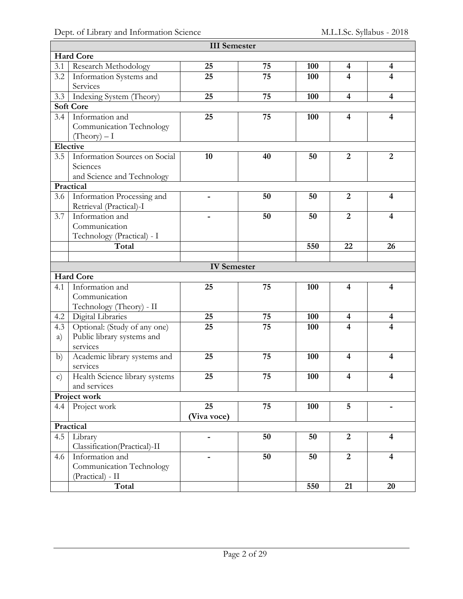| <b>III</b> Semester |                                |                          |    |     |                         |                         |  |  |  |
|---------------------|--------------------------------|--------------------------|----|-----|-------------------------|-------------------------|--|--|--|
|                     | <b>Hard Core</b>               |                          |    |     |                         |                         |  |  |  |
| 3.1                 | Research Methodology           | 25                       | 75 | 100 | $\overline{\mathbf{4}}$ | $\overline{\mathbf{4}}$ |  |  |  |
| 3.2                 | Information Systems and        | 25                       | 75 | 100 | 4                       | 4                       |  |  |  |
|                     | Services                       |                          |    |     |                         |                         |  |  |  |
| 3.3                 | Indexing System (Theory)       | 25                       | 75 | 100 | $\overline{\mathbf{4}}$ | $\overline{\mathbf{4}}$ |  |  |  |
|                     | <b>Soft Core</b>               |                          |    |     |                         |                         |  |  |  |
| 3.4                 | Information and                | 25                       | 75 | 100 | $\overline{\mathbf{4}}$ | $\overline{4}$          |  |  |  |
|                     | Communication Technology       |                          |    |     |                         |                         |  |  |  |
|                     | $(Theory) - I$                 |                          |    |     |                         |                         |  |  |  |
|                     | Elective                       |                          |    |     |                         |                         |  |  |  |
| 3.5                 | Information Sources on Social  | 10                       | 40 | 50  | $\overline{2}$          | $\overline{2}$          |  |  |  |
|                     | Sciences                       |                          |    |     |                         |                         |  |  |  |
|                     | and Science and Technology     |                          |    |     |                         |                         |  |  |  |
|                     | Practical                      |                          |    |     |                         |                         |  |  |  |
| 3.6                 | Information Processing and     |                          | 50 | 50  | $\overline{2}$          | $\overline{\mathbf{4}}$ |  |  |  |
|                     | Retrieval (Practical)-I        |                          |    |     |                         |                         |  |  |  |
| 3.7                 | Information and                |                          | 50 | 50  | $\overline{2}$          | 4                       |  |  |  |
|                     | Communication                  |                          |    |     |                         |                         |  |  |  |
|                     | Technology (Practical) - I     |                          |    |     |                         |                         |  |  |  |
|                     | Total                          |                          |    | 550 | 22                      | 26                      |  |  |  |
|                     |                                |                          |    |     |                         |                         |  |  |  |
|                     |                                | <b>IV</b> Semester       |    |     |                         |                         |  |  |  |
|                     | <b>Hard Core</b>               |                          |    |     |                         |                         |  |  |  |
| 4.1                 | Information and                | 25                       | 75 | 100 | 4                       | $\overline{\mathbf{4}}$ |  |  |  |
|                     | Communication                  |                          |    |     |                         |                         |  |  |  |
|                     | Technology (Theory) - II       |                          |    |     |                         |                         |  |  |  |
| 4.2                 | Digital Libraries              | 25                       | 75 | 100 | $\overline{\mathbf{4}}$ | $\overline{\mathbf{4}}$ |  |  |  |
| 4.3                 | Optional: (Study of any one)   | 25                       | 75 | 100 | $\overline{\mathbf{4}}$ | 4                       |  |  |  |
| a)                  | Public library systems and     |                          |    |     |                         |                         |  |  |  |
|                     | services                       |                          |    |     |                         |                         |  |  |  |
| b)                  | Academic library systems and   | 25                       | 75 | 100 | $\overline{\mathbf{4}}$ | 4                       |  |  |  |
|                     | services                       |                          |    |     |                         |                         |  |  |  |
| $\mathbf{c})$       | Health Science library systems | 25                       | 75 | 100 | $\overline{\mathbf{4}}$ | $\overline{\mathbf{4}}$ |  |  |  |
|                     | and services                   |                          |    |     |                         |                         |  |  |  |
|                     | <b>Project work</b>            |                          |    |     |                         |                         |  |  |  |
| 4.4                 | Project work                   | 25                       | 75 | 100 | 5                       |                         |  |  |  |
|                     |                                | (Viva voce)              |    |     |                         |                         |  |  |  |
|                     | Practical                      |                          |    |     |                         |                         |  |  |  |
| 4.5                 | Library                        | $\overline{\phantom{a}}$ | 50 | 50  | $\overline{2}$          | $\overline{4}$          |  |  |  |
|                     | Classification(Practical)-II   |                          |    |     |                         |                         |  |  |  |
| 4.6                 | Information and                | -                        | 50 | 50  | $\overline{2}$          | $\overline{\mathbf{4}}$ |  |  |  |
|                     | Communication Technology       |                          |    |     |                         |                         |  |  |  |
|                     | (Practical) - II               |                          |    |     |                         |                         |  |  |  |
|                     | Total                          |                          |    | 550 | 21                      | 20                      |  |  |  |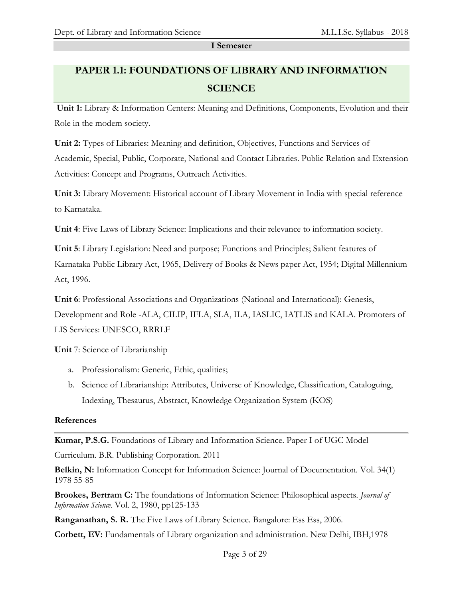**I Semester**

# **PAPER 1.1: FOUNDATIONS OF LIBRARY AND INFORMATION SCIENCE**

**Unit 1:** Library & Information Centers: Meaning and Definitions, Components, Evolution and their Role in the modem society.

**Unit 2:** Types of Libraries: Meaning and definition, Objectives, Functions and Services of Academic, Special, Public, Corporate, National and Contact Libraries. Public Relation and Extension Activities: Concept and Programs, Outreach Activities.

**Unit 3:** Library Movement: Historical account of Library Movement in India with special reference to Karnataka.

**Unit 4**: Five Laws of Library Science: Implications and their relevance to information society.

**Unit 5**: Library Legislation: Need and purpose; Functions and Principles; Salient features of Karnataka Public Library Act, 1965, Delivery of Books & News paper Act, 1954; Digital Millennium Act, 1996.

**Unit 6**: Professional Associations and Organizations (National and International): Genesis, Development and Role -ALA, CILIP, IFLA, SLA, ILA, IASLIC, IATLIS and KALA. Promoters of LIS Services: UNESCO, RRRLF

**Unit** 7: Science of Librarianship

- a. Professionalism: Generic, Ethic, qualities;
- b. Science of Librarianship: Attributes, Universe of Knowledge, Classification, Cataloguing, Indexing, Thesaurus, Abstract, Knowledge Organization System (KOS)

#### **References**

**Kumar, P.S.G.** Foundations of Library and Information Science. Paper I of UGC Model

Curriculum. B.R. Publishing Corporation. 2011

**Belkin, N:** Information Concept for Information Science: Journal of Documentation. Vol. 34(1) 1978 55-85

**Brookes, Bertram C:** The foundations of Information Science: Philosophical aspects. *Journal of Information Science.* Vol. 2, 1980, pp125-133

**Ranganathan, S. R.** The Five Laws of Library Science. Bangalore: Ess Ess, 2006.

**Corbett, EV:** Fundamentals of Library organization and administration. New Delhi, IBH,1978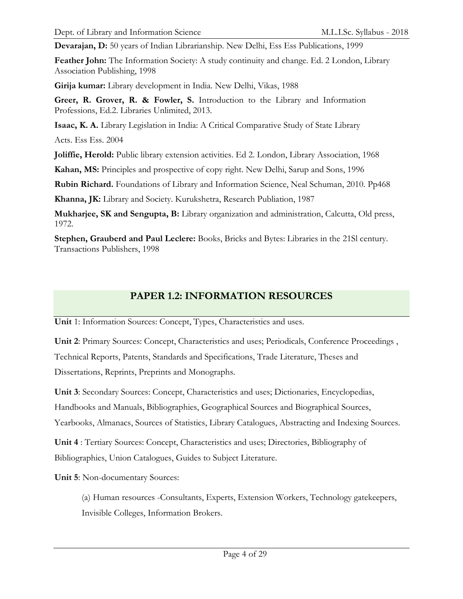**Devarajan, D:** 50 years of Indian Librarianship. New Delhi, Ess Ess Publications, 1999

**Feather John:** The Information Society: A study continuity and change. Ed. 2 London, Library Association Publishing, 1998

**Girija kumar:** Library development in India. New Delhi, Vikas, 1988

**Greer, R. Grover, R. & Fowler, S.** Introduction to the Library and Information Professions, Ed.2. Libraries Unlimited, 2013.

**Isaac, K. A.** Library Legislation in India: A Critical Comparative Study of State Library

Acts. Ess Ess. 2004

**Joliffie, Herold:** Public library extension activities. Ed 2. London, Library Association, 1968

**Kahan, MS:** Principles and prospective of copy right. New Delhi, Sarup and Sons, 1996

**Rubin Richard.** Foundations of Library and Information Science, Neal Schuman, 2010. Pp468

**Khanna, JK:** Library and Society. Kurukshetra, Research Publiation, 1987

**Mukharjee, SK and Sengupta, B:** Library organization and administration, Calcutta, Old press, 1972.

**Stephen, Grauberd and Paul Leclere:** Books, Bricks and Bytes: Libraries in the 21Sl century. Transactions Publishers, 1998

# **PAPER 1.2: INFORMATION RESOURCES**

**Unit** 1: Information Sources: Concept, Types, Characteristics and uses.

**Unit 2**: Primary Sources: Concept, Characteristics and uses; Periodicals, Conference Proceedings , Technical Reports, Patents, Standards and Specifications, Trade Literature, Theses and Dissertations, Reprints, Preprints and Monographs.

**Unit 3**: Secondary Sources: Concept, Characteristics and uses; Dictionaries, Encyclopedias, Handbooks and Manuals, Bibliographies, Geographical Sources and Biographical Sources, Yearbooks, Almanacs, Sources of Statistics, Library Catalogues, Abstracting and Indexing Sources.

**Unit 4** : Tertiary Sources: Concept, Characteristics and uses; Directories, Bibliography of Bibliographies, Union Catalogues, Guides to Subject Literature.

**Unit 5**: Non-documentary Sources:

(a) Human resources -Consultants, Experts, Extension Workers, Technology gatekeepers, Invisible Colleges, Information Brokers.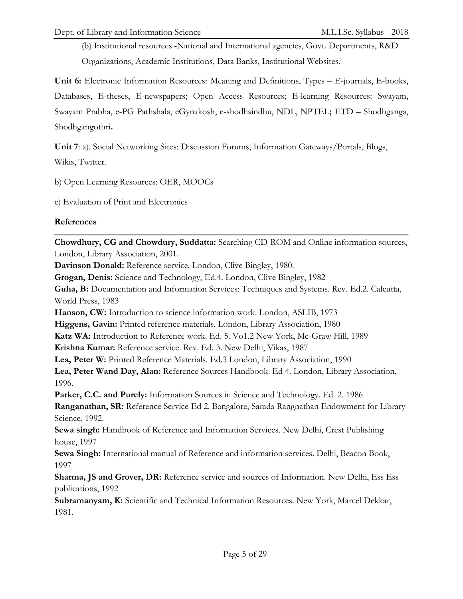(b) Institutional resources -National and International agencies, Govt. Departments, R&D Organizations, Academic Institutions, Data Banks, Institutional Websites.

**Unit 6:** Electronic Information Resources: Meaning and Definitions, Types – E-journals, E-books, Databases, E-theses, E-newspapers; Open Access Resources; E-learning Resources: Swayam, Swayam Prabha, e-PG Pathshala, eGynakosh, e-shodhsindhu, NDL, NPTEL**;** ETD – Shodhganga, Shodhgangothri**.**

**Unit 7**: a). Social Networking Sites: Discussion Forums, Information Gateways/Portals, Blogs,

Wikis, Twitter.

b) Open Learning Resources: OER, MOOCs

c) Evaluation of Print and Electronics

### **References**

**Chowdhury, CG and Chowdury, Suddatta:** Searching CD-ROM and Online information sources, London, Library Association, 2001.

**Davinson Donald:** Reference service. London, Clive Bingley, 1980.

**Grogan, Denis:** Science and Technology, Ed.4. London, Clive Bingley, 1982

**Guha, B:** Documentation and Information Services: Techniques and Systems. Rev. Ed.2. Calcutta, World Press, 1983

**Hanson, CW:** Introduction to science information work. London, ASLIB, 1973

**Higgens, Gavin:** Printed reference materials. London, Library Association, 1980

**Katz WA:** Introduction to Reference work. Ed. 5. Vo1.2 New York, Mc-Graw Hill, 1989

**Krishna Kumar:** Reference service. Rev. Ed. 3. New Delhi, Vikas, 1987

**Lea, Peter W:** Printed Reference Materials. Ed.3 London, Library Association, 1990

**Lea, Peter Wand Day, Alan:** Reference Sources Handbook. Ed 4. London, Library Association, 1996.

**Parker, C.C. and Purely:** Information Sources in Science and Technology. Ed. 2. 1986

**Ranganathan, SR:** Reference Service Ed 2. Bangalore, Sarada Rangnathan Endowment for Library Science, 1992.

**Sewa singh:** Handbook of Reference and Information Services. New Delhi, Crest Publishing house, 1997

**Sewa Singh:** International manual of Reference and information services. Delhi, Beacon Book, 1997

**Sharma, JS and Grover, DR:** Reference service and sources of Information. New Delhi, Ess Ess publications, 1992

**Subramanyam, K:** Scientific and Technical Information Resources. New York, Marcel Dekkar, 1981.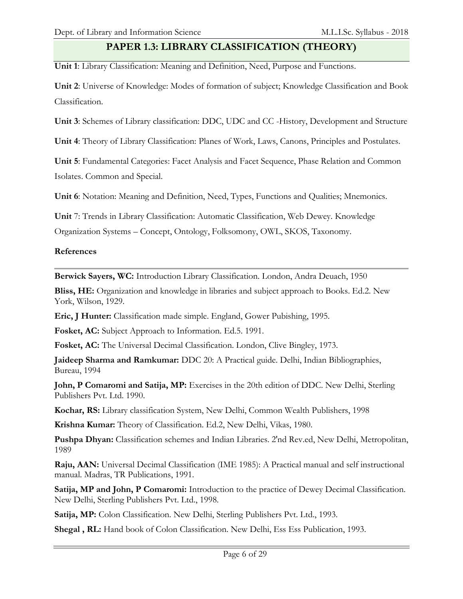## **PAPER 1.3: LIBRARY CLASSIFICATION (THEORY)**

**Unit 1**: Library Classification: Meaning and Definition, Need, Purpose and Functions.

**Unit 2**: Universe of Knowledge: Modes of formation of subject; Knowledge Classification and Book Classification.

**Unit 3**: Schemes of Library classification: DDC, UDC and CC -History, Development and Structure

**Unit 4**: Theory of Library Classification: Planes of Work, Laws, Canons, Principles and Postulates.

**Unit 5**: Fundamental Categories: Facet Analysis and Facet Sequence, Phase Relation and Common Isolates. Common and Special.

**Unit 6**: Notation: Meaning and Definition, Need, Types, Functions and Qualities; Mnemonics.

**Unit** 7: Trends in Library Classification: Automatic Classification, Web Dewey. Knowledge

Organization Systems – Concept, Ontology, Folksomony, OWL, SKOS, Taxonomy.

## **References**

**Berwick Sayers, WC:** Introduction Library Classification. London, Andra Deuach, 1950

**Bliss, HE:** Organization and knowledge in libraries and subject approach to Books. Ed.2. New York, Wilson, 1929.

**Eric, J Hunter:** Classification made simple. England, Gower Pubishing, 1995.

**Fosket, AC:** Subject Approach to Information. Ed.5. 1991.

**Fosket, AC:** The Universal Decimal Classification. London, Clive Bingley, 1973.

**Jaideep Sharma and Ramkumar:** DDC 20: A Practical guide. Delhi, Indian Bibliographies, Bureau, 1994

**John, P Comaromi and Satija, MP:** Exercises in the 20th edition of DDC. New Delhi, Sterling Publishers Pvt. Ltd. 1990.

**Kochar, RS:** Library classification System, New Delhi, Common Wealth Publishers, 1998

**Krishna Kumar:** Theory of Classification. Ed.2, New Delhi, Vikas, 1980.

**Pushpa Dhyan:** Classification schemes and Indian Libraries. 2'nd Rev.ed, New Delhi, Metropolitan, 1989

**Raju, AAN:** Universal Decimal Classification (IME 1985): A Practical manual and self instructional manual. Madras, TR Publications, 1991.

**Satija, MP and John, P Comaromi:** Introduction to the practice of Dewey Decimal Classification. New Delhi, Sterling Publishers Pvt. Ltd., 1998.

**Satija, MP:** Colon Classification. New Delhi, Sterling Publishers Pvt. Ltd., 1993.

**Shegal , RL:** Hand book of Colon Classification. New Delhi, Ess Ess Publication, 1993.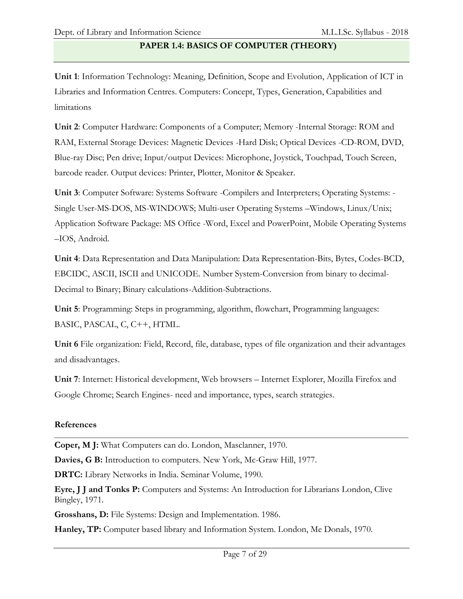# **PAPER 1.4: BASICS OF COMPUTER (THEORY)**

**Unit 1**: Information Technology: Meaning, Definition, Scope and Evolution, Application of ICT in Libraries and Information Centres. Computers: Concept, Types, Generation, Capabilities and limitations

**Unit 2**: Computer Hardware: Components of a Computer; Memory -Internal Storage: ROM and RAM, External Storage Devices: Magnetic Devices -Hard Disk; Optical Devices -CD-ROM, DVD, Blue-ray Disc; Pen drive; Input/output Devices: Microphone, Joystick, Touchpad, Touch Screen, barcode reader. Output devices: Printer, Plotter, Monitor & Speaker.

**Unit 3**: Computer Software: Systems Software -Compilers and Interpreters; Operating Systems: - Single User-MS-DOS, MS-WINDOWS; Multi-user Operating Systems –Windows, Linux/Unix; Application Software Package: MS Office -Word, Excel and PowerPoint, Mobile Operating Systems –IOS, Android.

**Unit 4**: Data Representation and Data Manipulation: Data Representation-Bits, Bytes, Codes-BCD, EBCIDC, ASCII, ISCII and UNICODE. Number System-Conversion from binary to decimal-Decimal to Binary; Binary calculations-Addition-Subtractions.

**Unit 5**: Programming: Steps in programming, algorithm, flowchart, Programming languages: BASIC, PASCAL, C, C++, HTML.

**Unit 6** File organization: Field, Record, file, database, types of file organization and their advantages and disadvantages.

**Unit 7**: Internet: Historical development, Web browsers – Internet Explorer, Mozilla Firefox and Google Chrome; Search Engines- need and importance, types, search strategies.

### **References**

**Coper, M J:** What Computers can do. London, Masclanner, 1970.

**Davies, G B:** Introduction to computers. New York, Mc-Graw Hill, 1977.

**DRTC:** Library Networks in India. Seminar Volume, 1990.

**Eyre, J J and Tonks P:** Computers and Systems: An Introduction for Librarians London, Clive Bingley, 1971.

**Grosshans, D:** File Systems: Design and Implementation. 1986.

**Hanley, TP:** Computer based library and Information System. London, Me Donals, 1970.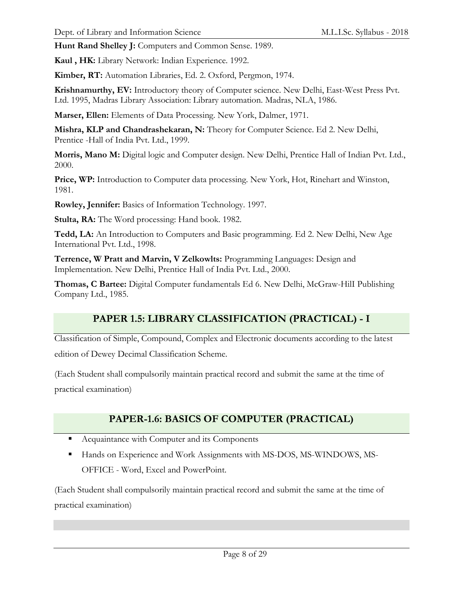**Hunt Rand Shelley J:** Computers and Common Sense. 1989.

**Kaul , HK:** Library Network: Indian Experience. 1992.

**Kimber, RT:** Automation Libraries, Ed. 2. Oxford, Pergmon, 1974.

**Krishnamurthy, EV:** Introductory theory of Computer science. New Delhi, East-West Press Pvt. Ltd. 1995, Madras Library Association: Library automation. Madras, NLA, 1986.

**Marser, Ellen:** Elements of Data Processing. New York, Dalmer, 1971.

**Mishra, KLP and Chandrashekaran, N:** Theory for Computer Science. Ed 2. New Delhi, Prentice -Hall of India Pvt. Ltd., 1999.

**Morris, Mano M:** Digital logic and Computer design. New Delhi, Prentice Hall of Indian Pvt. Ltd., 2000.

**Price, WP:** Introduction to Computer data processing. New York, Hot, Rinehart and Winston, 1981.

**Rowley, Jennifer:** Basics of Information Technology. 1997.

**Stulta, RA:** The Word processing: Hand book. 1982.

**Tedd, LA:** An Introduction to Computers and Basic programming. Ed 2. New Delhi, New Age International Pvt. Ltd., 1998.

**Terrence, W Pratt and Marvin, V Zelkowlts:** Programming Languages: Design and Implementation. New Delhi, Prentice Hall of India Pvt. Ltd., 2000.

**Thomas, C Bartee:** Digital Computer fundamentals Ed 6. New Delhi, McGraw-HilI Publishing Company Ltd., 1985.

## **PAPER 1.5: LIBRARY CLASSIFICATION (PRACTICAL) - I**

Classification of Simple, Compound, Complex and Electronic documents according to the latest edition of Dewey Decimal Classification Scheme.

(Each Student shall compulsorily maintain practical record and submit the same at the time of practical examination)

## **PAPER-1.6: BASICS OF COMPUTER (PRACTICAL)**

- Acquaintance with Computer and its Components
- Hands on Experience and Work Assignments with MS-DOS, MS-WINDOWS, MS-OFFICE - Word, Excel and PowerPoint.

(Each Student shall compulsorily maintain practical record and submit the same at the time of practical examination)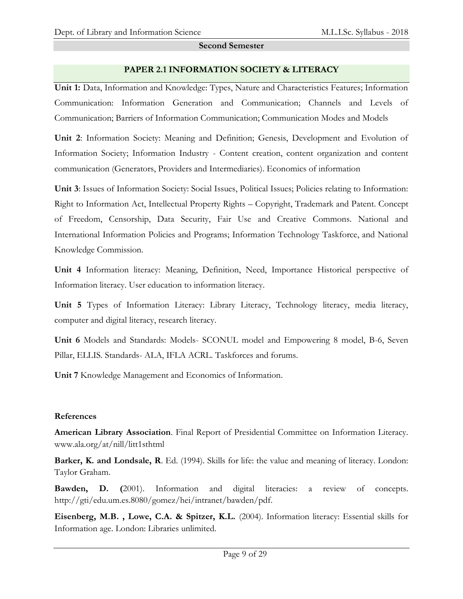#### **Second Semester**

#### **PAPER 2.1 INFORMATION SOCIETY & LITERACY**

**Unit 1:** Data, Information and Knowledge: Types, Nature and Characteristics Features; Information Communication: Information Generation and Communication; Channels and Levels of Communication; Barriers of Information Communication; Communication Modes and Models

**Unit 2**: Information Society: Meaning and Definition; Genesis, Development and Evolution of Information Society; Information Industry - Content creation, content organization and content communication (Generators, Providers and Intermediaries). Economics of information

**Unit 3**: Issues of Information Society: Social Issues, Political Issues; Policies relating to Information: Right to Information Act, Intellectual Property Rights – Copyright, Trademark and Patent. Concept of Freedom, Censorship, Data Security, Fair Use and Creative Commons. National and International Information Policies and Programs; Information Technology Taskforce, and National Knowledge Commission.

**Unit 4** Information literacy: Meaning, Definition, Need, Importance Historical perspective of Information literacy. User education to information literacy.

**Unit 5** Types of Information Literacy: Library Literacy, Technology literacy, media literacy, computer and digital literacy, research literacy.

**Unit 6** Models and Standards: Models- SCONUL model and Empowering 8 model, B-6, Seven Pillar, ELLIS. Standards- ALA, IFLA ACRL. Taskforces and forums.

**Unit 7** Knowledge Management and Economics of Information.

### **References**

**American Library Association**. Final Report of Presidential Committee on Information Literacy. www.ala.org/at/nill/litt1sthtml

**Barker, K. and Londsale, R.** Ed. (1994). Skills for life: the value and meaning of literacy. London: Taylor Graham.

**Bawden, D. (**2001). Information and digital literacies: a review of concepts. [http://gti/edu.um.es.8080/gomez/hei/intranet/bawden/pdf.](http://gti/edu.um.es.8080/gomez/hei/intranet/bawden/pdf)

**Eisenberg, M.B. , Lowe, C.A. & Spitzer, K.L.** (2004). Information literacy: Essential skills for Information age. London: Libraries unlimited.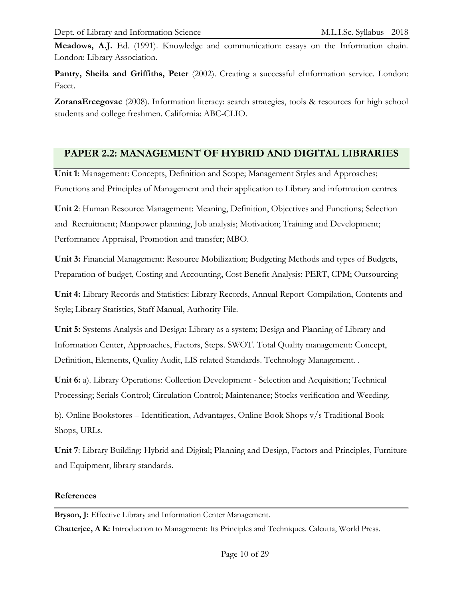**Meadows, A.J.** Ed. (1991). Knowledge and communication: essays on the Information chain. London: Library Association.

Pantry, Sheila and Griffiths, Peter (2002). Creating a successful eInformation service. London: Facet.

**ZoranaErcegovac** (2008). Information literacy: search strategies, tools & resources for high school students and college freshmen. California: ABC-CLIO.

## **PAPER 2.2: MANAGEMENT OF HYBRID AND DIGITAL LIBRARIES**

**Unit 1**: Management: Concepts, Definition and Scope; Management Styles and Approaches; Functions and Principles of Management and their application to Library and information centres

**Unit 2**: Human Resource Management: Meaning, Definition, Objectives and Functions; Selection and Recruitment; Manpower planning, Job analysis; Motivation; Training and Development; Performance Appraisal, Promotion and transfer; MBO.

**Unit 3:** Financial Management: Resource Mobilization; Budgeting Methods and types of Budgets, Preparation of budget, Costing and Accounting, Cost Benefit Analysis: PERT, CPM; Outsourcing

**Unit 4:** Library Records and Statistics: Library Records, Annual Report-Compilation, Contents and Style; Library Statistics, Staff Manual, Authority File.

**Unit 5:** Systems Analysis and Design: Library as a system; Design and Planning of Library and Information Center, Approaches, Factors, Steps. SWOT. Total Quality management: Concept, Definition, Elements, Quality Audit, LIS related Standards. Technology Management. .

**Unit 6:** a). Library Operations: Collection Development - Selection and Acquisition; Technical Processing; Serials Control; Circulation Control; Maintenance; Stocks verification and Weeding.

b). Online Bookstores – Identification, Advantages, Online Book Shops v/s Traditional Book Shops, URLs.

**Unit 7**: Library Building: Hybrid and Digital; Planning and Design, Factors and Principles, Furniture and Equipment, library standards.

#### **References**

**Bryson, J:** Effective Library and Information Center Management.

**Chatterjee, A K:** Introduction to Management: Its Principles and Techniques. Calcutta, World Press.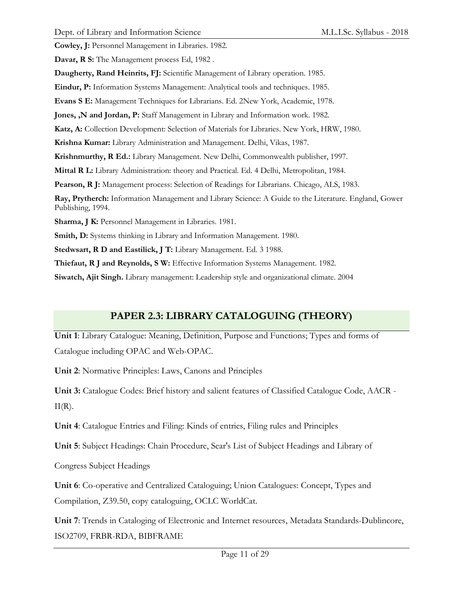**Cowley, J:** Personnel Management in Libraries. 1982.

**Davar, R S:** The Management process Ed, 1982 .

**Daugherty, Rand Heinrits, FJ:** Scientific Management of Library operation. 1985.

**Eindur, P:** Information Systems Management: Analytical tools and techniques. 1985.

**Evans S E:** Management Techniques for Librarians. Ed. 2New York, Academic, 1978.

**Jones, ,N and Jordan, P:** Staff Management in Library and Information work. 1982.

**Katz, A:** Collection Development: Selection of Materials for Libraries. New York, HRW, 1980.

**Krishna Kumar:** Library Administration and Management. Delhi, Vikas, 1987.

**Krishnmurthy, R Ed.:** Library Management. New Delhi, Commonwealth publisher, 1997.

**Mittal R L:** Library Administration: theory and Practical. Ed. 4 Delhi, Metropolitan, 1984.

**Pearson, R J:** Management process: Selection of Readings for Librarians. Chicago, ALS, 1983.

**Ray, Prytherch:** Information Management and Library Science: A Guide to the Literature. England, Gower Publishing, 1994.

**Sharma, J K:** Personnel Management in Libraries. 1981.

**Smith, D:** Systems thinking in Library and Information Management. 1980.

**Stedwsart, R D and Eastilick, J T:** Library Management. Ed. 3 1988.

**Thiefaut, R J and Reynolds, S W:** Effective Information Systems Management. 1982.

**Siwatch, Ajit Singh.** Library management: Leadership style and organizational climate. 2004

## **PAPER 2.3: LIBRARY CATALOGUING (THEORY)**

**Unit 1**: Library Catalogue: Meaning, Definition, Purpose and Functions; Types and forms of Catalogue including OPAC and Web-OPAC.

**Unit 2**: Normative Principles: Laws, Canons and Principles

**Unit 3:** Catalogue Codes: Brief history and salient features of Classified Catalogue Code, AACR -  $II(R)$ .

**Unit 4**: Catalogue Entries and Filing: Kinds of entries, Filing rules and Principles

**Unit 5**: Subject Headings: Chain Procedure, Sear's List of Subject Headings and Library of

Congress Subject Headings

**Unit 6**: Co-operative and Centralized Cataloguing; Union Catalogues: Concept, Types and Compilation, Z39.50, copy cataloguing, OCLC WorldCat.

**Unit 7**: Trends in Cataloging of Electronic and Internet resources, Metadata Standards-Dublincore, ISO2709, FRBR-RDA, BIBFRAME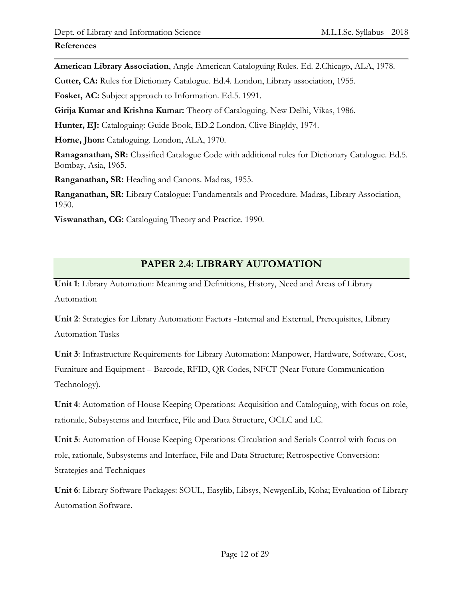#### **References**

**American Library Association**, Angle-American Cataloguing Rules. Ed. 2.Chicago, ALA, 1978.

**Cutter, CA:** Rules for Dictionary Catalogue. Ed.4. London, Library association, 1955.

**Fosket, AC:** Subject approach to Information. Ed.5. 1991.

**Girija Kumar and Krishna Kumar:** Theory of Cataloguing. New Delhi, Vikas, 1986.

**Hunter, EJ:** Cataloguing: Guide Book, ED.2 London, Clive Bingldy, 1974.

**Horne, Jhon:** Cataloguing. London, ALA, 1970.

**Ranaganathan, SR:** Classified Catalogue Code with additional rules for Dictionary Catalogue. Ed.5. Bombay, Asia, 1965.

**Ranganathan, SR:** Heading and Canons. Madras, 1955.

**Ranganathan, SR:** Library Catalogue: Fundamentals and Procedure. Madras, Library Association, 1950.

**Viswanathan, CG:** Cataloguing Theory and Practice. 1990.

# **PAPER 2.4: LIBRARY AUTOMATION**

**Unit 1**: Library Automation: Meaning and Definitions, History, Need and Areas of Library Automation

**Unit 2**: Strategies for Library Automation: Factors -Internal and External, Prerequisites, Library Automation Tasks

**Unit 3**: Infrastructure Requirements for Library Automation: Manpower, Hardware, Software, Cost, Furniture and Equipment – Barcode, RFID, QR Codes, NFCT (Near Future Communication Technology).

**Unit 4**: Automation of House Keeping Operations: Acquisition and Cataloguing, with focus on role, rationale, Subsystems and Interface, File and Data Structure, OCLC and LC.

**Unit 5**: Automation of House Keeping Operations: Circulation and Serials Control with focus on role, rationale, Subsystems and Interface, File and Data Structure; Retrospective Conversion: Strategies and Techniques

**Unit 6**: Library Software Packages: SOUL, Easylib, Libsys, NewgenLib, Koha; Evaluation of Library Automation Software.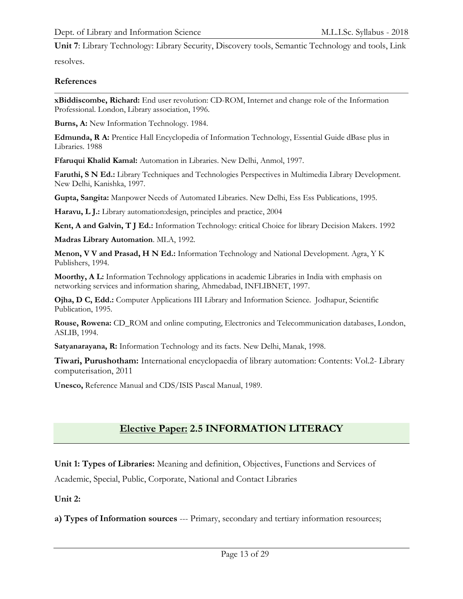**Unit 7**: Library Technology: Library Security, Discovery tools, Semantic Technology and tools, Link resolves.

**References**

**xBiddiscombe, Richard:** End user revolution: CD-ROM, Internet and change role of the Information Professional. London, Library association, 1996.

**Burns, A:** New Information Technology. 1984.

**Edmunda, R A:** Prentice Hall Encyclopedia of Information Technology, Essential Guide dBase plus in Libraries. 1988

**Ffaruqui Khalid Kamal:** Automation in Libraries. New Delhi, Anmol, 1997.

**Faruthi, S N Ed.:** Library Techniques and Technologies Perspectives in Multimedia Library Development. New Delhi, Kanishka, 1997.

**Gupta, Sangita:** Manpower Needs of Automated Libraries. New Delhi, Ess Ess Publications, 1995.

**Haravu, L J.:** Library automation:design, principles and practice, 2004

**Kent, A and Galvin, T J Ed.:** Information Technology: critical Choice for library Decision Makers. 1992

**Madras Library Automation**. MLA, 1992.

**Menon, V V and Prasad, H N Ed.:** Information Technology and National Development. Agra, Y K Publishers, 1994.

**Moorthy, A L:** Information Technology applications in academic Libraries in India with emphasis on networking services and information sharing, Ahmedabad, INFLIBNET, 1997.

**Ojha, D C, Edd.:** Computer Applications III Library and Information Science. Jodhapur, Scientific Publication, 1995.

**Rouse, Rowena:** CD\_ROM and online computing, Electronics and Telecommunication databases, London, ASLIB, 1994.

**Satyanarayana, R:** Information Technology and its facts. New Delhi, Manak, 1998.

**Tiwari, Purushotham:** International encyclopaedia of library automation: Contents: Vol.2- Library computerisation, 2011

**Unesco,** Reference Manual and CDS/ISIS Pascal Manual, 1989.

# **Elective Paper: 2.5 INFORMATION LITERACY**

**Unit 1: Types of Libraries:** Meaning and definition, Objectives, Functions and Services of

Academic, Special, Public, Corporate, National and Contact Libraries

**Unit 2:** 

**a) Types of Information sources** --- Primary, secondary and tertiary information resources;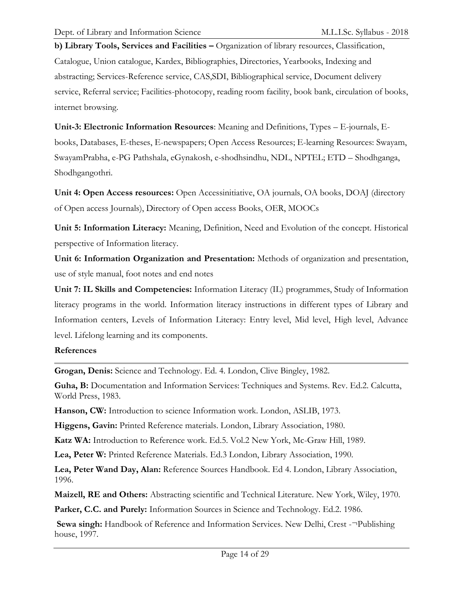**b) Library Tools, Services and Facilities –** Organization of library resources, Classification, Catalogue, Union catalogue, Kardex, Bibliographies, Directories, Yearbooks, Indexing and abstracting; Services-Reference service, CAS,SDI, Bibliographical service, Document delivery service, Referral service; Facilities-photocopy, reading room facility, book bank, circulation of books, internet browsing.

**Unit-3: Electronic Information Resources**: Meaning and Definitions, Types – E-journals, Ebooks, Databases, E-theses, E-newspapers; Open Access Resources; E-learning Resources: Swayam, SwayamPrabha, e-PG Pathshala, eGynakosh, e-shodhsindhu, NDL, NPTEL; ETD – Shodhganga, Shodhgangothri.

**Unit 4: Open Access resources:** Open Accessinitiative, OA journals, OA books, DOAJ (directory of Open access Journals), Directory of Open access Books, OER, MOOCs

**Unit 5: Information Literacy:** Meaning, Definition, Need and Evolution of the concept. Historical perspective of Information literacy.

**Unit 6: Information Organization and Presentation:** Methods of organization and presentation, use of style manual, foot notes and end notes

**Unit 7: IL Skills and Competencies:** Information Literacy (IL) programmes, Study of Information literacy programs in the world. Information literacy instructions in different types of Library and Information centers, Levels of Information Literacy: Entry level, Mid level, High level, Advance level. Lifelong learning and its components.

### **References**

**Grogan, Denis:** Science and Technology. Ed. 4. London, Clive Bingley, 1982.

**Guha, B:** Documentation and Information Services: Techniques and Systems. Rev. Ed.2. Calcutta, World Press, 1983.

**Hanson, CW:** Introduction to science Information work. London, ASLIB, 1973.

**Higgens, Gavin:** Printed Reference materials. London, Library Association, 1980.

**Katz WA:** Introduction to Reference work. Ed.5. Vol.2 New York, Mc-Graw Hill, 1989.

**Lea, Peter W:** Printed Reference Materials. Ed.3 London, Library Association, 1990.

**Lea, Peter Wand Day, Alan:** Reference Sources Handbook. Ed 4. London, Library Association, 1996.

**Maizell, RE and Others:** Abstracting scientific and Technical Literature. New York, Wiley, 1970.

**Parker, C.C. and Purely:** Information Sources in Science and Technology. Ed.2. 1986.

**Sewa singh:** Handbook of Reference and Information Services. New Delhi, Crest -¬Publishing house, 1997.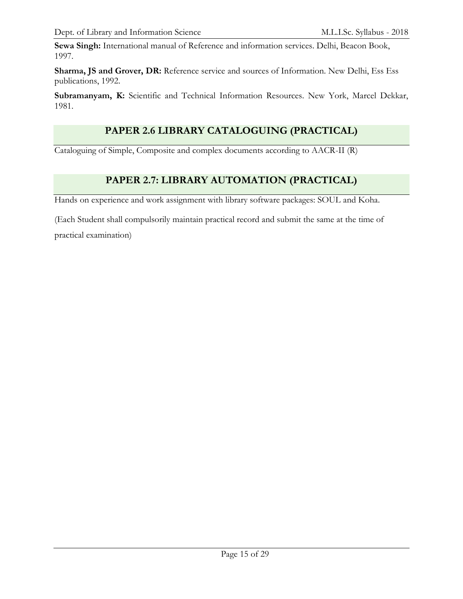**Sewa Singh:** International manual of Reference and information services. Delhi, Beacon Book, 1997.

Sharma, JS and Grover, DR: Reference service and sources of Information. New Delhi, Ess Ess publications, 1992.

Subramanyam, K: Scientific and Technical Information Resources. New York, Marcel Dekkar, 1981.

# **PAPER 2.6 LIBRARY CATALOGUING (PRACTICAL)**

Cataloguing of Simple, Composite and complex documents according to AACR-II (R)

# **PAPER 2.7: LIBRARY AUTOMATION (PRACTICAL)**

Hands on experience and work assignment with library software packages: SOUL and Koha.

(Each Student shall compulsorily maintain practical record and submit the same at the time of

practical examination)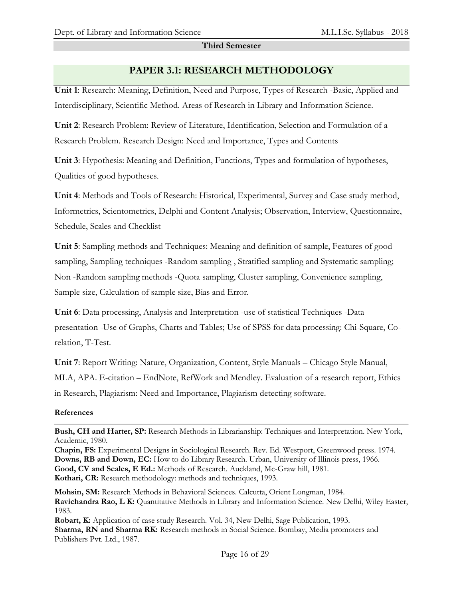#### **Third Semester**

## **PAPER 3.1: RESEARCH METHODOLOGY**

**Unit 1**: Research: Meaning, Definition, Need and Purpose, Types of Research -Basic, Applied and Interdisciplinary, Scientific Method. Areas of Research in Library and Information Science.

**Unit 2**: Research Problem: Review of Literature, Identification, Selection and Formulation of a Research Problem. Research Design: Need and Importance, Types and Contents

**Unit 3**: Hypothesis: Meaning and Definition, Functions, Types and formulation of hypotheses, Qualities of good hypotheses.

**Unit 4**: Methods and Tools of Research: Historical, Experimental, Survey and Case study method, Informetrics, Scientometrics, Delphi and Content Analysis; Observation, Interview, Questionnaire, Schedule, Scales and Checklist

**Unit 5**: Sampling methods and Techniques: Meaning and definition of sample, Features of good sampling, Sampling techniques -Random sampling, Stratified sampling and Systematic sampling; Non -Random sampling methods -Quota sampling, Cluster sampling, Convenience sampling, Sample size, Calculation of sample size, Bias and Error.

**Unit 6**: Data processing, Analysis and Interpretation -use of statistical Techniques -Data presentation -Use of Graphs, Charts and Tables; Use of SPSS for data processing: Chi-Square, Corelation, T-Test.

**Unit 7**: Report Writing: Nature, Organization, Content, Style Manuals – Chicago Style Manual, MLA, APA. E-citation – EndNote, RefWork and Mendley. Evaluation of a research report, Ethics in Research, Plagiarism: Need and Importance, Plagiarism detecting software.

#### **References**

**Bush, CH and Harter, SP:** Research Methods in Librarianship: Techniques and Interpretation. New York, Academic, 1980.

**Chapin, FS:** Experimental Designs in Sociological Research. Rev. Ed. Westport, Greenwood press. 1974. **Downs, RB and Down, EC:** How to do Library Research. Urban, University of Illinois press, 1966. **Good, CV and Scales, E Ed.:** Methods of Research. Auckland, Mc-Graw hill, 1981. **Kothari, CR:** Research methodology: methods and techniques, 1993.

**Mohsin, SM:** Research Methods in Behavioral Sciences. Calcutta, Orient Longman, 1984. **Ravichandra Rao, L K:** Quantitative Methods in Library and Information Science. New Delhi, Wiley Easter, 1983.

**Robart, K:** Application of case study Research. Vol. 34, New Delhi, Sage Publication, 1993. **Sharma, RN and Sharma RK:** Research methods in Social Science. Bombay, Media promoters and Publishers Pvt. Ltd., 1987.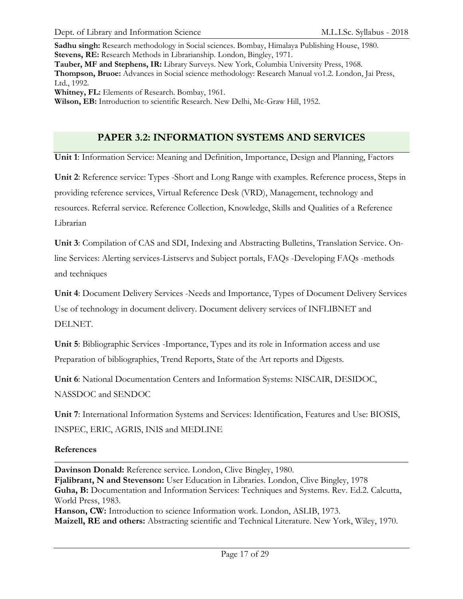**Sadhu singh:** Research methodology in Social sciences. Bombay, Himalaya Publishing House, 1980. **Stevens, RE:** Research Methods in Librarianship. London, Bingley, 1971. **Tauber, MF and Stephens, IR:** Library Surveys. New York, Columbia University Press, 1968. **Thompson, Bruoe:** Advances in Social science methodology: Research Manual vo1.2. London, Jai Press, Ltd., 1992. **Whitney, FL:** Elements of Research. Bombay, 1961.

**Wilson, EB:** Introduction to scientific Research. New Delhi, Mc-Graw Hill, 1952.

## **PAPER 3.2: INFORMATION SYSTEMS AND SERVICES**

**Unit 1**: Information Service: Meaning and Definition, Importance, Design and Planning, Factors

**Unit 2**: Reference service: Types -Short and Long Range with examples. Reference process, Steps in providing reference services, Virtual Reference Desk (VRD), Management, technology and resources. Referral service. Reference Collection, Knowledge, Skills and Qualities of a Reference Librarian

**Unit 3**: Compilation of CAS and SDI, Indexing and Abstracting Bulletins, Translation Service. Online Services: Alerting services-Listservs and Subject portals, FAQs -Developing FAQs -methods and techniques

**Unit 4**: Document Delivery Services -Needs and Importance, Types of Document Delivery Services Use of technology in document delivery. Document delivery services of INFLIBNET and DELNET.

**Unit 5**: Bibliographic Services -Importance, Types and its role in Information access and use Preparation of bibliographies, Trend Reports, State of the Art reports and Digests.

**Unit 6**: National Documentation Centers and Information Systems: NISCAIR, DESIDOC, NASSDOC and SENDOC

**Unit 7**: International Information Systems and Services: Identification, Features and Use: BIOSIS, INSPEC, ERIC, AGRIS, INIS and MEDLINE

#### **References**

**Davinson Donald:** Reference service. London, Clive Bingley, 1980. **Fjalibrant, N and Stevenson:** User Education in Libraries. London, Clive Bingley, 1978 **Guha, B:** Documentation and Information Services: Techniques and Systems. Rev. Ed.2. Calcutta, World Press, 1983.

**Hanson, CW:** Introduction to science Information work. London, ASLIB, 1973. **Maizell, RE and others:** Abstracting scientific and Technical Literature. New York, Wiley, 1970.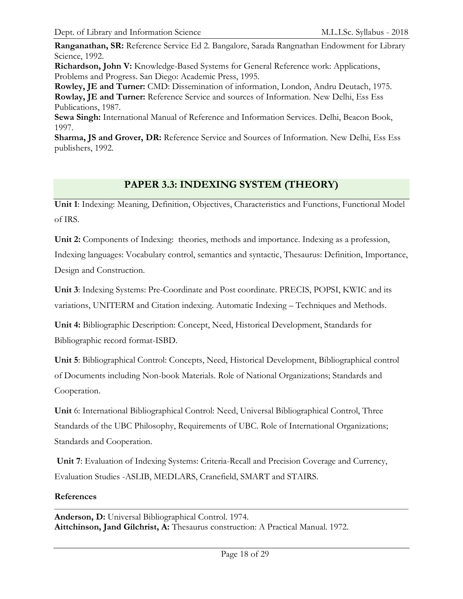**Ranganathan, SR:** Reference Service Ed 2. Bangalore, Sarada Rangnathan Endowment for Library Science, 1992.

**Richardson, John V:** Knowledge-Based Systems for General Reference work: Applications, Problems and Progress. San Diego: Academic Press, 1995.

**Rowley, JE and Turner:** CMD: Dissemination of information, London, Andru Deutach, 1975. **Rowlay, JE and Turner:** Reference Service and sources of Information. New Delhi, Ess Ess Publications, 1987.

**Sewa Singh:** International Manual of Reference and Information Services. Delhi, Beacon Book, 1997.

**Sharma, JS and Grover, DR:** Reference Service and Sources of Information. New Delhi, Ess Ess publishers, 1992.

# **PAPER 3.3: INDEXING SYSTEM (THEORY)**

**Unit 1**: Indexing: Meaning, Definition, Objectives, Characteristics and Functions, Functional Model of IRS.

**Unit 2:** Components of Indexing: theories, methods and importance. Indexing as a profession,

Indexing languages: Vocabulary control, semantics and syntactic, Thesaurus: Definition, Importance, Design and Construction.

**Unit 3**: Indexing Systems: Pre-Coordinate and Post coordinate. PRECIS, POPSI, KWIC and its variations, UNITERM and Citation indexing. Automatic Indexing – Techniques and Methods.

**Unit 4:** Bibliographic Description: Concept, Need, Historical Development, Standards for Bibliographic record format-ISBD.

**Unit 5**: Bibliographical Control: Concepts, Need, Historical Development, Bibliographical control of Documents including Non-book Materials. Role of National Organizations; Standards and Cooperation.

**Unit** 6: International Bibliographical Control: Need, Universal Bibliographical Control, Three Standards of the UBC Philosophy, Requirements of UBC. Role of International Organizations; Standards and Cooperation.

**Unit 7**: Evaluation of Indexing Systems: Criteria-Recall and Precision Coverage and Currency, Evaluation Studies -ASLIB, MEDLARS, Cranefield, SMART and STAIRS.

### **References**

**Anderson, D:** Universal Bibliographical Control. 1974. **Aittchinson, Jand Gilchrist, A:** Thesaurus construction: A Practical Manual. 1972.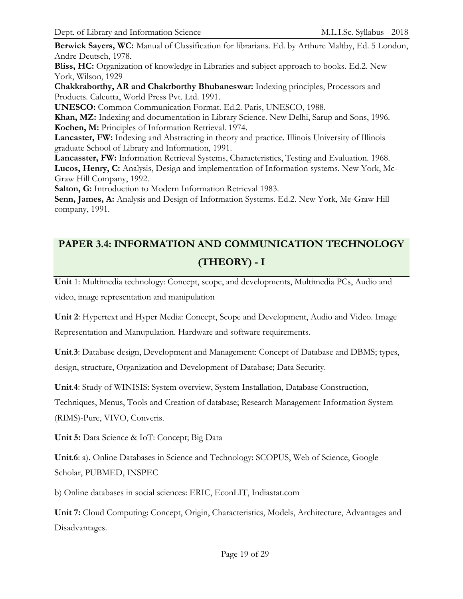**Berwick Sayers, WC:** Manual of Classification for librarians. Ed. by Arthure Maltby, Ed. 5 London, Andre Deutsch, 1978.

**Bliss, HC:** Organization of knowledge in Libraries and subject approach to books. Ed.2. New York, Wilson, 1929

**Chakkraborthy, AR and Chakrborthy Bhubaneswar:** Indexing principles, Processors and Products. Calcutta, World Press Pvt. Ltd. 1991.

**UNESCO:** Common Communication Format. Ed.2. Paris, UNESCO, 1988.

**Khan, MZ:** Indexing and documentation in Library Science. New Delhi, Sarup and Sons, 1996. **Kochen, M:** Principles of Information Retrieval. 1974.

**Lancaster, FW:** Indexing and Abstracting in theory and practice. Illinois University of Illinois graduate School of Library and Information, 1991.

**Lancasster, FW:** Information Retrieval Systems, Characteristics, Testing and Evaluation. 1968. **Lucos, Henry, C:** Analysis, Design and implementation of Information systems. New York, Mc-Graw Hill Company, 1992.

**Salton, G:** Introduction to Modern Information Retrieval 1983.

**Senn, James, A:** Analysis and Design of Information Systems. Ed.2. New York, Me-Graw Hill company, 1991.

# **PAPER 3.4: INFORMATION AND COMMUNICATION TECHNOLOGY (THEORY) - I**

**Unit** 1: Multimedia technology: Concept, scope, and developments, Multimedia PCs, Audio and video, image representation and manipulation

**Unit 2**: Hypertext and Hyper Media: Concept, Scope and Development, Audio and Video. Image Representation and Manupulation. Hardware and software requirements.

**Unit**.**3**: Database design, Development and Management: Concept of Database and DBMS; types, design, structure, Organization and Development of Database; Data Security.

**Unit**.**4**: Study of WINISIS: System overview, System Installation, Database Construction,

Techniques, Menus, Tools and Creation of database; Research Management Information System (RIMS)-Pure, VIVO, Converis.

**Unit 5:** Data Science & IoT: Concept; Big Data

**Unit**.**6**: a). Online Databases in Science and Technology: SCOPUS, Web of Science, Google Scholar, PUBMED, INSPEC

b) Online databases in social sciences: ERIC, EconLIT, Indiastat.com

**Unit 7:** Cloud Computing: Concept, Origin, Characteristics, Models, Architecture, Advantages and Disadvantages.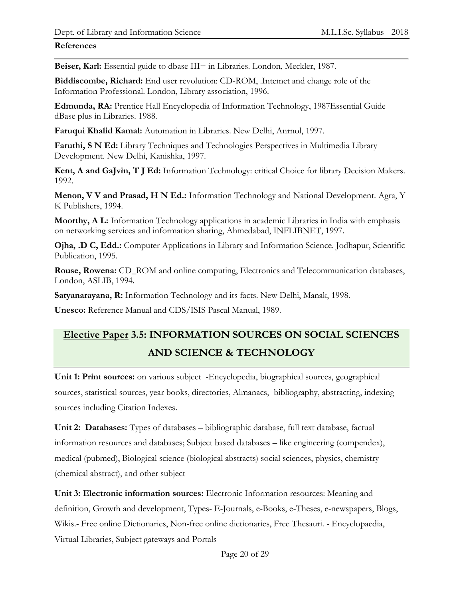### **References**

**Beiser, Karl:** Essential guide to dbase III+ in Libraries. London, Meckler, 1987.

**Biddiscombe, Richard:** End user revolution: CD-ROM, .Intemet and change role of the Information Professional. London, Library association, 1996.

**Edmunda, RA:** Prentice Hall Encyclopedia of Information Technology, 1987Essential Guide dBase plus in Libraries. 1988.

**Faruqui Khalid Kamal:** Automation in Libraries. New Delhi, Anrnol, 1997.

**Faruthi, S N Ed:** Library Techniques and Technologies Perspectives in Multimedia Library Development. New Delhi, Kanishka, 1997.

**Kent, A and GaJvin, T J Ed:** Information Technology: critical Choice for library Decision Makers. 1992.

**Menon, V V and Prasad, H N Ed.:** Information Technology and National Development. Agra, Y K Publishers, 1994.

**Moorthy, A L:** Information Technology applications in academic Libraries in India with emphasis on networking services and information sharing, Ahmedabad, INFLIBNET, 1997.

**Ojha, .D C, Edd.:** Computer Applications in Library and Information Science. Jodhapur, Scientific Publication, 1995.

**Rouse, Rowena:** CD\_ROM and online computing, Electronics and Telecommunication databases, London, ASLIB, 1994.

**Satyanarayana, R:** Information Technology and its facts. New Delhi, Manak, 1998.

**Unesco:** Reference Manual and CDS/ISIS Pascal Manual, 1989.

# **Elective Paper 3.5: INFORMATION SOURCES ON SOCIAL SCIENCES AND SCIENCE & TECHNOLOGY**

**Unit 1: Print sources:** on various subject -Encyclopedia, biographical sources, geographical sources, statistical sources, year books, directories, Almanacs, bibliography, abstracting, indexing sources including Citation Indexes.

**Unit 2: Databases:** Types of databases – bibliographic database, full text database, factual information resources and databases; Subject based databases – like engineering (compendex), medical (pubmed), Biological science (biological abstracts) social sciences, physics, chemistry (chemical abstract), and other subject

**Unit 3: Electronic information sources:** Electronic Information resources: Meaning and definition, Growth and development, Types- E-Journals, e-Books, e-Theses, e-newspapers, Blogs, Wikis.- Free online Dictionaries, Non-free online dictionaries, Free Thesauri. - Encyclopaedia, Virtual Libraries, Subject gateways and Portals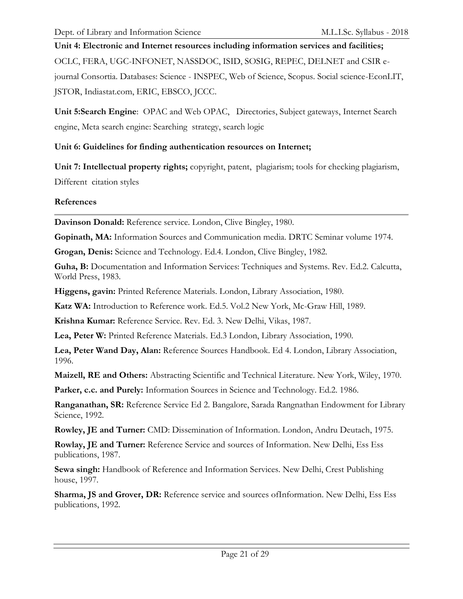# **Unit 4: Electronic and Internet resources including information services and facilities;**

OCLC, FERA, UGC-INFONET, NASSDOC, ISID, SOSIG, REPEC, DELNET and CSIR e-

journal Consortia. Databases: Science - INSPEC, Web of Science, Scopus. Social science-EconLIT, JSTOR, Indiastat.com, ERIC, EBSCO, JCCC.

**Unit 5:Search Engine**: OPAC and Web OPAC, Directories, Subject gateways, Internet Search engine, Meta search engine: Searching strategy, search logic

#### **Unit 6: Guidelines for finding authentication resources on Internet;**

**Unit 7: Intellectual property rights;** copyright, patent, plagiarism; tools for checking plagiarism,

Different citation styles

#### **References**

**Davinson Donald:** Reference service. London, Clive Bingley, 1980.

**Gopinath, MA:** Information Sources and Communication media. DRTC Seminar volume 1974.

**Grogan, Denis:** Science and Technology. Ed.4. London, Clive Bingley, 1982.

**Guha, B:** Documentation and Information Services: Techniques and Systems. Rev. Ed.2. Calcutta, World Press, 1983.

**Higgens, gavin:** Printed Reference Materials. London, Library Association, 1980.

**Katz WA:** Introduction to Reference work. Ed.5. Vol.2 New York, Mc-Graw Hill, 1989.

**Krishna Kumar:** Reference Service. Rev. Ed. 3. New Delhi, Vikas, 1987.

**Lea, Peter W:** Printed Reference Materials. Ed.3 London, Library Association, 1990.

**Lea, Peter Wand Day, Alan:** Reference Sources Handbook. Ed 4. London, Library Association, 1996.

**Maizell, RE and Others:** Abstracting Scientific and Technical Literature. New York, Wiley, 1970.

**Parker, c.c. and Purely:** Information Sources in Science and Technology. Ed.2. 1986.

**Ranganathan, SR:** Reference Service Ed 2. Bangalore, Sarada Rangnathan Endowment for Library Science, 1992.

**Rowley, JE and Turner:** CMD: Dissemination of Information. London, Andru Deutach, 1975.

**Rowlay, JE and Turner:** Reference Service and sources of Information. New Delhi, Ess Ess publications, 1987.

**Sewa singh:** Handbook of Reference and Information Services. New Delhi, Crest Publishing house, 1997.

**Sharma, JS and Grover, DR:** Reference service and sources ofInformation. New Delhi, Ess Ess publications, 1992.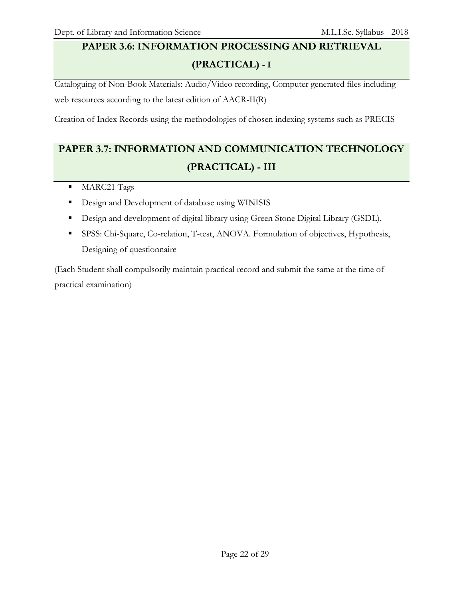# **PAPER 3.6: INFORMATION PROCESSING AND RETRIEVAL**

# **(PRACTICAL) - I**

Cataloguing of Non-Book Materials: Audio/Video recording, Computer generated files including web resources according to the latest edition of AACR-II(R)

Creation of Index Records using the methodologies of chosen indexing systems such as PRECIS

# **PAPER 3.7: INFORMATION AND COMMUNICATION TECHNOLOGY (PRACTICAL) - III**

- **MARC21 Tags**
- Design and Development of database using WINISIS
- Design and development of digital library using Green Stone Digital Library (GSDL).
- SPSS: Chi-Square, Co-relation, T-test, ANOVA. Formulation of objectives, Hypothesis, Designing of questionnaire

(Each Student shall compulsorily maintain practical record and submit the same at the time of practical examination)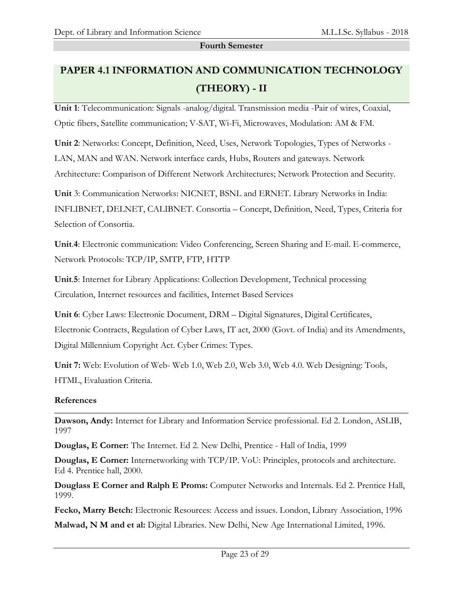#### **Fourth Semester**

# **PAPER 4.1 INFORMATION AND COMMUNICATION TECHNOLOGY (THEORY) - II**

**Unit 1**: Telecommunication: Signals -analog/digital. Transmission media -Pair of wires, Coaxial, Optic fibers, Satellite communication; V-SAT, Wi-Fi, Microwaves, Modulation: AM & FM.

**Unit 2**: Networks: Concept, Definition, Need, Uses, Network Topologies, Types of Networks - LAN, MAN and WAN. Network interface cards, Hubs, Routers and gateways. Network Architecture: Comparison of Different Network Architectures; Network Protection and Security.

**Unit** 3: Communication Networks: NICNET, BSNL and ERNET. Library Networks in India: INFLIBNET, DELNET, CALIBNET. Consortia – Concept, Definition, Need, Types, Criteria for Selection of Consortia.

**Unit**.**4**: Electronic communication: Video Conferencing, Screen Sharing and E-mail. E-commerce, Network Protocols: TCP/IP, SMTP, FTP, HTTP

**Unit**.**5**: Internet for Library Applications: Collection Development, Technical processing Circulation, Internet resources and facilities, Internet Based Services

**Unit 6**: Cyber Laws: Electronic Document, DRM – Digital Signatures, Digital Certificates, Electronic Contracts, Regulation of Cyber Laws, IT act, 2000 (Govt. of India) and its Amendments, Digital Millennium Copyright Act. Cyber Crimes: Types.

**Unit 7:** Web: Evolution of Web- Web 1.0, Web 2.0, Web 3.0, Web 4.0. Web Designing: Tools, HTML, Evaluation Criteria.

### **References**

**Dawson, Andy:** Internet for Library and Information Service professional. Ed 2. London, ASLIB, 1997

**Douglas, E Corner:** The Internet. Ed 2. New Delhi, Prentice - Hall of India, 1999

**Douglas, E Corner:** Internetworking with TCP/IP. VoU: Principles, protocols and architecture. Ed 4. Prentice hall, 2000.

**Douglass E Corner and Ralph E Proms:** Computer Networks and Internals. Ed 2. Prentice Hall, 1999.

**Fecko, Marry Betch:** Electronic Resources: Access and issues. London, Library Association, 1996

**Malwad, N M and et al:** Digital Libraries. New Delhi, New Age International Limited, 1996.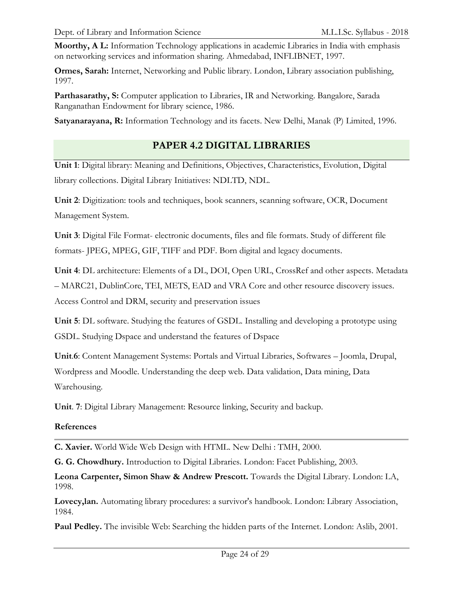**Moorthy, A L:** Information Technology applications in academic Libraries in India with emphasis on networking services and information sharing. Ahmedabad, INFLIBNET, 1997.

**Ormes, Sarah:** Internet, Networking and Public library. London, Library association publishing, 1997.

**Parthasarathy, S:** Computer application to Libraries, IR and Networking. Bangalore, Sarada Ranganathan Endowment for library science, 1986.

**Satyanarayana, R:** Information Technology and its facets. New Delhi, Manak (P) Limited, 1996.

## **PAPER 4.2 DIGITAL LIBRARIES**

**Unit 1**: Digital library: Meaning and Definitions, Objectives, Characteristics, Evolution, Digital library collections. Digital Library Initiatives: NDLTD, NDL.

**Unit 2**: Digitization: tools and techniques, book scanners, scanning software, OCR, Document Management System.

**Unit 3**: Digital File Format- electronic documents, files and file formats. Study of different file formats- JPEG, MPEG, GIF, TIFF and PDF. Born digital and legacy documents.

**Unit 4**: DL architecture: Elements of a DL, DOI, Open URL, CrossRef and other aspects. Metadata – MARC21, DublinCore, TEI, METS, EAD and VRA Core and other resource discovery issues. Access Control and DRM, security and preservation issues

**Unit 5**: DL software. Studying the features of GSDL. Installing and developing a prototype using GSDL. Studying Dspace and understand the features of Dspace

**Unit**.**6**: Content Management Systems: Portals and Virtual Libraries, Softwares – Joomla, Drupal, Wordpress and Moodle. Understanding the deep web. Data validation, Data mining, Data Warehousing.

**Unit**. **7**: Digital Library Management: Resource linking, Security and backup.

#### **References**

**C. Xavier.** World Wide Web Design with HTML. New Delhi : TMH, 2000.

**G. G. Chowdhury.** Introduction to Digital Libraries. London: Facet Publishing, 2003.

**Leona Carpenter, Simon Shaw & Andrew Prescott.** Towards the Digital Library. London: LA, 1998.

**Lovecy,lan.** Automating library procedures: a survivor's handbook. London: Library Association, 1984.

**Paul Pedley.** The invisible Web: Searching the hidden parts of the Internet. London: Aslib, 2001.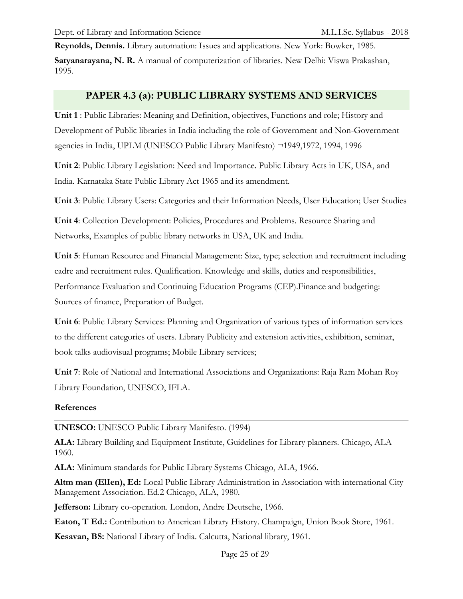**Reynolds, Dennis.** Library automation: Issues and applications. New York: Bowker, 1985.

**Satyanarayana, N. R.** A manual of computerization of libraries. New Delhi: Viswa Prakashan, 1995.

## **PAPER 4.3 (a): PUBLIC LIBRARY SYSTEMS AND SERVICES**

**Unit 1** : Public Libraries: Meaning and Definition, objectives, Functions and role; History and Development of Public libraries in India including the role of Government and Non-Government agencies in India, UPLM (UNESCO Public Library Manifesto) ¬1949,1972, 1994, 1996

**Unit 2**: Public Library Legislation: Need and Importance. Public Library Acts in UK, USA, and India. Karnataka State Public Library Act 1965 and its amendment.

**Unit 3**: Public Library Users: Categories and their Information Needs, User Education; User Studies

**Unit 4**: Collection Development: Policies, Procedures and Problems. Resource Sharing and Networks, Examples of public library networks in USA, UK and India.

**Unit 5**: Human Resource and Financial Management: Size, type; selection and recruitment including cadre and recruitment rules. Qualification. Knowledge and skills, duties and responsibilities, Performance Evaluation and Continuing Education Programs (CEP).Finance and budgeting: Sources of finance, Preparation of Budget.

**Unit 6**: Public Library Services: Planning and Organization of various types of information services to the different categories of users. Library Publicity and extension activities, exhibition, seminar, book talks audiovisual programs; Mobile Library services;

**Unit 7**: Role of National and International Associations and Organizations: Raja Ram Mohan Roy Library Foundation, UNESCO, IFLA.

#### **References**

**UNESCO:** UNESCO Public Library Manifesto. (1994)

**ALA:** Library Building and Equipment Institute, Guidelines for Library planners. Chicago, ALA 1960.

**ALA:** Minimum standards for Public Library Systems Chicago, ALA, 1966.

**Altm man (ElIen), Ed:** Local Public Library Administration in Association with international City Management Association. Ed.2 Chicago, ALA, 1980.

**Jefferson:** Library co-operation. London, Andre Deutsche, 1966.

**Eaton, T Ed.:** Contribution to American Library History. Champaign, Union Book Store, 1961.

**Kesavan, BS:** National Library of India. Calcutta, National library, 1961.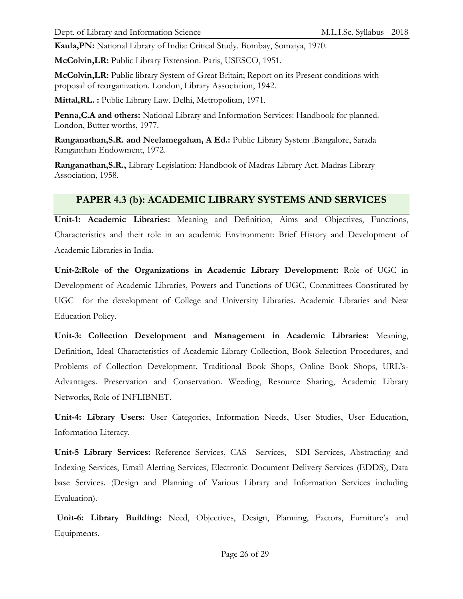**Kaula,PN:** National Library of India: Critical Study. Bombay, Somaiya, 1970.

**McColvin,LR:** Public Library Extension. Paris, USESCO, 1951.

**McColvin,LR:** Public library System of Great Britain; Report on its Present conditions with proposal of reorganization. London, Library Association, 1942.

**Mittal,RL. :** Public Library Law. Delhi, Metropolitan, 1971.

**Penna,C.A and others:** National Library and Information Services: Handbook for planned. London, Butter worths, 1977.

**Ranganathan,S.R. and Neelamegahan, A Ed.:** Public Library System .Bangalore, Sarada Ranganthan Endowment, 1972.

**Ranganathan,S.R.,** Library Legislation: Handbook of Madras Library Act. Madras Library Association, 1958.

# **PAPER 4.3 (b): ACADEMIC LIBRARY SYSTEMS AND SERVICES**

**Unit-1: Academic Libraries:** Meaning and Definition, Aims and Objectives, Functions, Characteristics and their role in an academic Environment: Brief History and Development of Academic Libraries in India.

**Unit-2:Role of the Organizations in Academic Library Development:** Role of UGC in Development of Academic Libraries, Powers and Functions of UGC, Committees Constituted by UGC for the development of College and University Libraries. Academic Libraries and New Education Policy.

**Unit-3: Collection Development and Management in Academic Libraries:** Meaning, Definition, Ideal Characteristics of Academic Library Collection, Book Selection Procedures, and Problems of Collection Development. Traditional Book Shops, Online Book Shops, URL's-Advantages. Preservation and Conservation. Weeding, Resource Sharing, Academic Library Networks, Role of INFLIBNET.

**Unit-4: Library Users:** User Categories, Information Needs, User Studies, User Education, Information Literacy.

**Unit-5 Library Services:** Reference Services, CAS Services, SDI Services, Abstracting and Indexing Services, Email Alerting Services, Electronic Document Delivery Services (EDDS), Data base Services. (Design and Planning of Various Library and Information Services including Evaluation).

**Unit-6: Library Building:** Need, Objectives, Design, Planning, Factors, Furniture's and Equipments.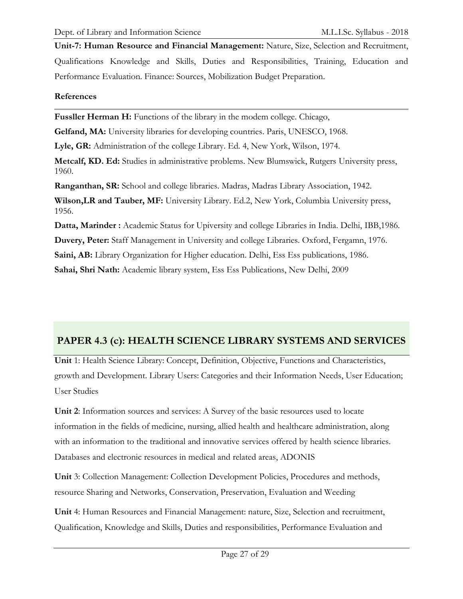**Unit-7: Human Resource and Financial Management:** Nature, Size, Selection and Recruitment, Qualifications Knowledge and Skills, Duties and Responsibilities, Training, Education and Performance Evaluation. Finance: Sources, Mobilization Budget Preparation.

#### **References**

**Fussller Herman H:** Functions of the library in the modem college. Chicago,

**Gelfand, MA:** University libraries for developing countries. Paris, UNESCO, 1968.

**Lyle, GR:** Administration of the college Library. Ed. 4, New York, Wilson, 1974.

**Metcalf, KD. Ed:** Studies in administrative problems. New Blumswick, Rutgers University press, 1960.

**Ranganthan, SR:** School and college libraries. Madras, Madras Library Association, 1942.

**Wilson,LR and Tauber, MF:** University Library. Ed.2, New York, Columbia University press, 1956.

**Datta, Marinder :** Academic Status for Upiversity and college Libraries in India. Delhi, IBB,1986.

**Duvery, Peter:** Staff Management in University and college Libraries. Oxford, Fergamn, 1976.

**Saini, AB:** Library Organization for Higher education. Delhi, Ess Ess publications, 1986.

**Sahai, Shri Nath:** Academic library system, Ess Ess Publications, New Delhi, 2009

## **PAPER 4.3 (c): HEALTH SCIENCE LIBRARY SYSTEMS AND SERVICES**

**Unit** 1: Health Science Library: Concept, Definition, Objective, Functions and Characteristics, growth and Development. Library Users: Categories and their Information Needs, User Education; User Studies

**Unit 2**: Information sources and services: A Survey of the basic resources used to locate information in the fields of medicine, nursing, allied health and healthcare administration, along with an information to the traditional and innovative services offered by health science libraries. Databases and electronic resources in medical and related areas, ADONIS

**Unit** 3: Collection Management: Collection Development Policies, Procedures and methods, resource Sharing and Networks, Conservation, Preservation, Evaluation and Weeding

**Unit** 4: Human Resources and Financial Management: nature, Size, Selection and recruitment, Qualification, Knowledge and Skills, Duties and responsibilities, Performance Evaluation and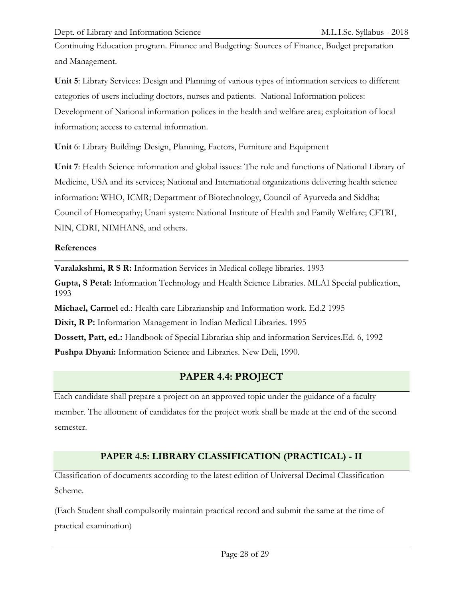Continuing Education program. Finance and Budgeting: Sources of Finance, Budget preparation and Management.

**Unit 5**: Library Services: Design and Planning of various types of information services to different categories of users including doctors, nurses and patients. National Information polices: Development of National information polices in the health and welfare area; exploitation of local information; access to external information.

**Unit** 6: Library Building: Design, Planning, Factors, Furniture and Equipment

**Unit 7**: Health Science information and global issues: The role and functions of National Library of Medicine, USA and its services; National and International organizations delivering health science information: WHO, ICMR; Department of Biotechnology, Council of Ayurveda and Siddha; Council of Homeopathy; Unani system: National Institute of Health and Family Welfare; CFTRI, NIN, CDRI, NIMHANS, and others.

#### **References**

**Varalakshmi, R S R:** Information Services in Medical college libraries. 1993

**Gupta, S Petal:** Information Technology and Health Science Libraries. MLAI Special publication, 1993

**Michael, Carmel** ed.: Health care Librarianship and Information work. Ed.2 1995

**Dixit, R P:** Information Management in Indian Medical Libraries. 1995

**Dossett, Patt, ed.:** Handbook of Special Librarian ship and information Services.Ed. 6, 1992 **Pushpa Dhyani:** Information Science and Libraries. New Deli, 1990.

## **PAPER 4.4: PROJECT**

Each candidate shall prepare a project on an approved topic under the guidance of a faculty member. The allotment of candidates for the project work shall be made at the end of the second semester.

## **PAPER 4.5: LIBRARY CLASSIFICATION (PRACTICAL) - II**

Classification of documents according to the latest edition of Universal Decimal Classification Scheme.

(Each Student shall compulsorily maintain practical record and submit the same at the time of practical examination)